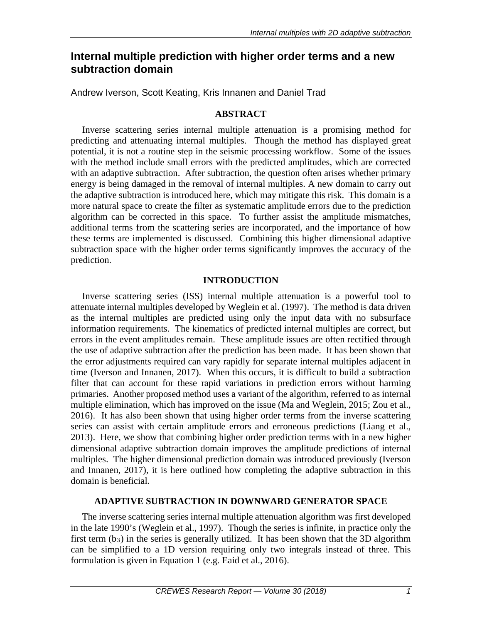# **Internal multiple prediction with higher order terms and a new subtraction domain**

Andrew Iverson, Scott Keating, Kris Innanen and Daniel Trad

### **ABSTRACT**

Inverse scattering series internal multiple attenuation is a promising method for predicting and attenuating internal multiples. Though the method has displayed great potential, it is not a routine step in the seismic processing workflow. Some of the issues with the method include small errors with the predicted amplitudes, which are corrected with an adaptive subtraction. After subtraction, the question often arises whether primary energy is being damaged in the removal of internal multiples. A new domain to carry out the adaptive subtraction is introduced here, which may mitigate this risk. This domain is a more natural space to create the filter as systematic amplitude errors due to the prediction algorithm can be corrected in this space. To further assist the amplitude mismatches, additional terms from the scattering series are incorporated, and the importance of how these terms are implemented is discussed. Combining this higher dimensional adaptive subtraction space with the higher order terms significantly improves the accuracy of the prediction.

## **INTRODUCTION**

Inverse scattering series (ISS) internal multiple attenuation is a powerful tool to attenuate internal multiples developed by Weglein et al. (1997). The method is data driven as the internal multiples are predicted using only the input data with no subsurface information requirements. The kinematics of predicted internal multiples are correct, but errors in the event amplitudes remain. These amplitude issues are often rectified through the use of adaptive subtraction after the prediction has been made. It has been shown that the error adjustments required can vary rapidly for separate internal multiples adjacent in time (Iverson and Innanen, 2017). When this occurs, it is difficult to build a subtraction filter that can account for these rapid variations in prediction errors without harming primaries. Another proposed method uses a variant of the algorithm, referred to as internal multiple elimination, which has improved on the issue (Ma and Weglein, 2015; Zou et al., 2016). It has also been shown that using higher order terms from the inverse scattering series can assist with certain amplitude errors and erroneous predictions (Liang et al., 2013). Here, we show that combining higher order prediction terms with in a new higher dimensional adaptive subtraction domain improves the amplitude predictions of internal multiples. The higher dimensional prediction domain was introduced previously (Iverson and Innanen, 2017), it is here outlined how completing the adaptive subtraction in this domain is beneficial.

### **ADAPTIVE SUBTRACTION IN DOWNWARD GENERATOR SPACE**

The inverse scattering series internal multiple attenuation algorithm was first developed in the late 1990's (Weglein et al., 1997). Though the series is infinite, in practice only the first term  $(b_3)$  in the series is generally utilized. It has been shown that the 3D algorithm can be simplified to a 1D version requiring only two integrals instead of three. This formulation is given in Equation 1 (e.g. Eaid et al., 2016).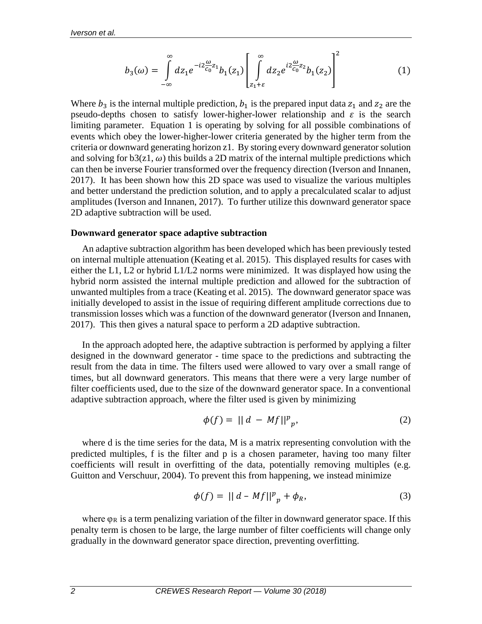$$
b_3(\omega) = \int_{-\infty}^{\infty} dz_1 e^{-i2\frac{\omega}{c_0}z_1} b_1(z_1) \left[ \int_{z_1 + \varepsilon}^{\infty} dz_2 e^{i2\frac{\omega}{c_0}z_2} b_1(z_2) \right]^2 \tag{1}
$$

Where  $b_3$  is the internal multiple prediction,  $b_1$  is the prepared input data  $z_1$  and  $z_2$  are the pseudo-depths chosen to satisfy lower-higher-lower relationship and  $\varepsilon$  is the search limiting parameter. Equation 1 is operating by solving for all possible combinations of events which obey the lower-higher-lower criteria generated by the higher term from the criteria or downward generating horizon z1. By storing every downward generator solution and solving for  $b3(z1, \omega)$  this builds a 2D matrix of the internal multiple predictions which can then be inverse Fourier transformed over the frequency direction (Iverson and Innanen, 2017). It has been shown how this 2D space was used to visualize the various multiples and better understand the prediction solution, and to apply a precalculated scalar to adjust amplitudes (Iverson and Innanen, 2017). To further utilize this downward generator space 2D adaptive subtraction will be used.

#### **Downward generator space adaptive subtraction**

An adaptive subtraction algorithm has been developed which has been previously tested on internal multiple attenuation (Keating et al. 2015). This displayed results for cases with either the L1, L2 or hybrid L1/L2 norms were minimized. It was displayed how using the hybrid norm assisted the internal multiple prediction and allowed for the subtraction of unwanted multiples from a trace (Keating et al. 2015). The downward generator space was initially developed to assist in the issue of requiring different amplitude corrections due to transmission losses which was a function of the downward generator (Iverson and Innanen, 2017). This then gives a natural space to perform a 2D adaptive subtraction.

In the approach adopted here, the adaptive subtraction is performed by applying a filter designed in the downward generator - time space to the predictions and subtracting the result from the data in time. The filters used were allowed to vary over a small range of times, but all downward generators. This means that there were a very large number of filter coefficients used, due to the size of the downward generator space. In a conventional adaptive subtraction approach, where the filter used is given by minimizing

$$
\phi(f) = ||d - Mf||^p_p,\tag{2}
$$

where d is the time series for the data, M is a matrix representing convolution with the predicted multiples, f is the filter and p is a chosen parameter, having too many filter coefficients will result in overfitting of the data, potentially removing multiples (e.g. Guitton and Verschuur, 2004). To prevent this from happening, we instead minimize

$$
\phi(f) = ||d - Mf||^p_p + \phi_R,\tag{3}
$$

where  $\varphi_R$  is a term penalizing variation of the filter in downward generator space. If this penalty term is chosen to be large, the large number of filter coefficients will change only gradually in the downward generator space direction, preventing overfitting.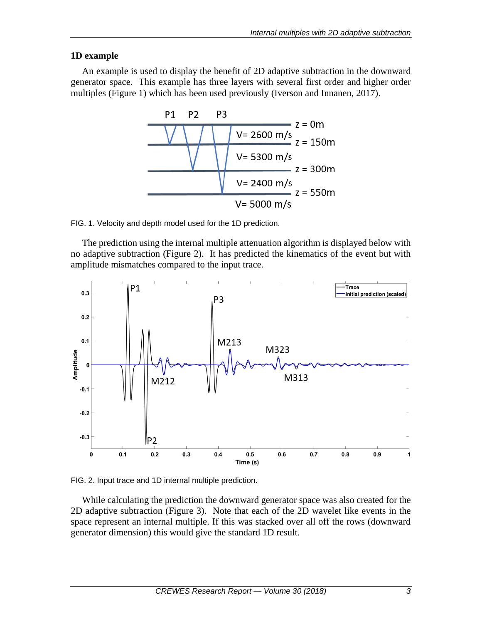## **1D example**

An example is used to display the benefit of 2D adaptive subtraction in the downward generator space. This example has three layers with several first order and higher order multiples (Figure 1) which has been used previously (Iverson and Innanen, 2017).



FIG. 1. Velocity and depth model used for the 1D prediction.

The prediction using the internal multiple attenuation algorithm is displayed below with no adaptive subtraction (Figure 2). It has predicted the kinematics of the event but with amplitude mismatches compared to the input trace.



FIG. 2. Input trace and 1D internal multiple prediction.

While calculating the prediction the downward generator space was also created for the 2D adaptive subtraction (Figure 3). Note that each of the 2D wavelet like events in the space represent an internal multiple. If this was stacked over all off the rows (downward generator dimension) this would give the standard 1D result.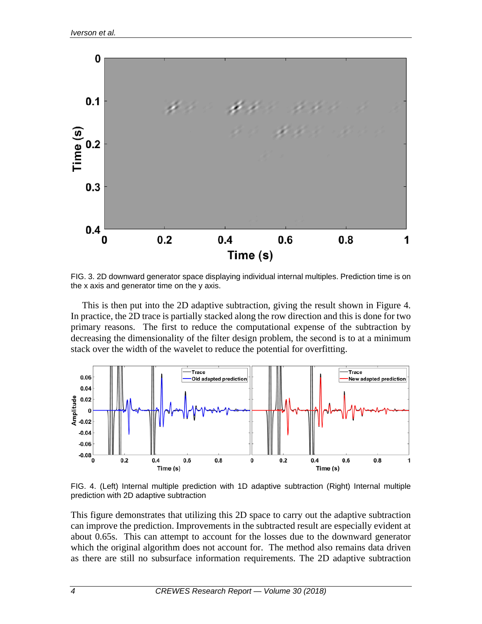

FIG. 3. 2D downward generator space displaying individual internal multiples. Prediction time is on the x axis and generator time on the y axis.

This is then put into the 2D adaptive subtraction, giving the result shown in Figure 4. In practice, the 2D trace is partially stacked along the row direction and this is done for two primary reasons. The first to reduce the computational expense of the subtraction by decreasing the dimensionality of the filter design problem, the second is to at a minimum stack over the width of the wavelet to reduce the potential for overfitting.



FIG. 4. (Left) Internal multiple prediction with 1D adaptive subtraction (Right) Internal multiple prediction with 2D adaptive subtraction

This figure demonstrates that utilizing this 2D space to carry out the adaptive subtraction can improve the prediction. Improvements in the subtracted result are especially evident at about 0.65s. This can attempt to account for the losses due to the downward generator which the original algorithm does not account for. The method also remains data driven as there are still no subsurface information requirements. The 2D adaptive subtraction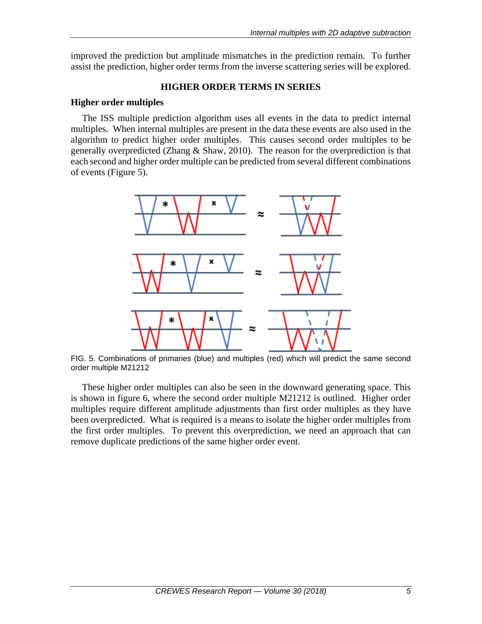improved the prediction but amplitude mismatches in the prediction remain. To further assist the prediction, higher order terms from the inverse scattering series will be explored.

## **HIGHER ORDER TERMS IN SERIES**

### **Higher order multiples**

The ISS multiple prediction algorithm uses all events in the data to predict internal multiples. When internal multiples are present in the data these events are also used in the algorithm to predict higher order multiples. This causes second order multiples to be generally overpredicted (Zhang & Shaw, 2010). The reason for the overprediction is that each second and higher order multiple can be predicted from several different combinations of events (Figure 5).



FIG. 5. Combinations of primaries (blue) and multiples (red) which will predict the same second order multiple M21212

These higher order multiples can also be seen in the downward generating space. This is shown in figure 6, where the second order multiple M21212 is outlined. Higher order multiples require different amplitude adjustments than first order multiples as they have been overpredicted. What is required is a means to isolate the higher order multiples from the first order multiples. To prevent this overprediction, we need an approach that can remove duplicate predictions of the same higher order event.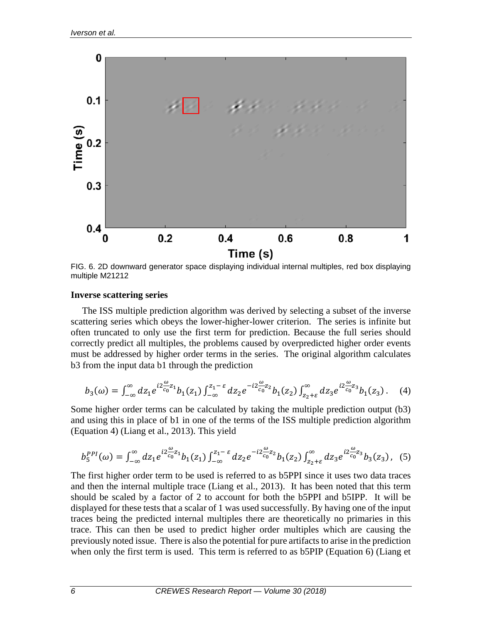

FIG. 6. 2D downward generator space displaying individual internal multiples, red box displaying multiple M21212

### **Inverse scattering series**

The ISS multiple prediction algorithm was derived by selecting a subset of the inverse scattering series which obeys the lower-higher-lower criterion. The series is infinite but often truncated to only use the first term for prediction. Because the full series should correctly predict all multiples, the problems caused by overpredicted higher order events must be addressed by higher order terms in the series. The original algorithm calculates b3 from the input data b1 through the prediction

$$
b_3(\omega) = \int_{-\infty}^{\infty} dz_1 e^{i2\frac{\omega}{c_0}z_1} b_1(z_1) \int_{-\infty}^{z_1 - \varepsilon} dz_2 e^{-i2\frac{\omega}{c_0}z_2} b_1(z_2) \int_{z_2 + \varepsilon}^{\infty} dz_3 e^{i2\frac{\omega}{c_0}z_3} b_1(z_3).
$$
 (4)

Some higher order terms can be calculated by taking the multiple prediction output (b3) and using this in place of b1 in one of the terms of the ISS multiple prediction algorithm (Equation 4) (Liang et al., 2013). This yield

$$
b_5^{PPI}(\omega) = \int_{-\infty}^{\infty} dz_1 e^{iz\frac{\omega}{c_0}z_1} b_1(z_1) \int_{-\infty}^{z_1 - \varepsilon} dz_2 e^{-iz\frac{\omega}{c_0}z_2} b_1(z_2) \int_{z_2 + \varepsilon}^{\infty} dz_3 e^{iz\frac{\omega}{c_0}z_3} b_3(z_3), \quad (5)
$$

The first higher order term to be used is referred to as b5PPI since it uses two data traces and then the internal multiple trace (Liang et al., 2013). It has been noted that this term should be scaled by a factor of 2 to account for both the b5PPI and b5IPP. It will be displayed for these tests that a scalar of 1 was used successfully. By having one of the input traces being the predicted internal multiples there are theoretically no primaries in this trace. This can then be used to predict higher order multiples which are causing the previously noted issue. There is also the potential for pure artifacts to arise in the prediction when only the first term is used. This term is referred to as b5PIP (Equation 6) (Liang et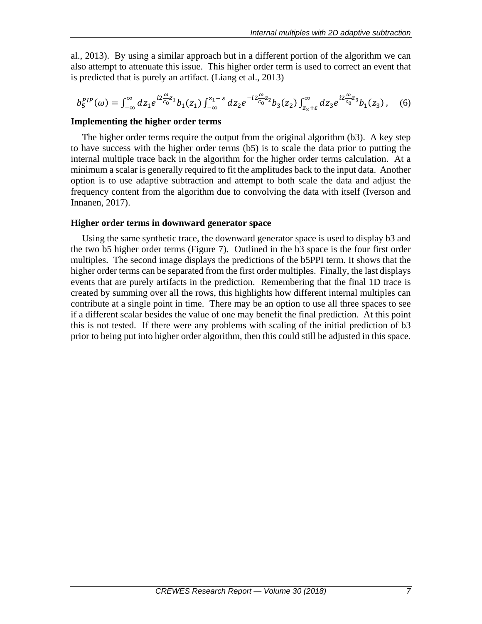al., 2013). By using a similar approach but in a different portion of the algorithm we can also attempt to attenuate this issue. This higher order term is used to correct an event that is predicted that is purely an artifact. (Liang et al., 2013)

$$
b_5^{PIP}(\omega) = \int_{-\infty}^{\infty} dz_1 e^{i2\frac{\omega}{c_0}z_1} b_1(z_1) \int_{-\infty}^{z_1 - \varepsilon} dz_2 e^{-i2\frac{\omega}{c_0}z_2} b_3(z_2) \int_{z_2 + \varepsilon}^{\infty} dz_3 e^{i2\frac{\omega}{c_0}z_3} b_1(z_3), \quad (6)
$$

### **Implementing the higher order terms**

The higher order terms require the output from the original algorithm (b3). A key step to have success with the higher order terms (b5) is to scale the data prior to putting the internal multiple trace back in the algorithm for the higher order terms calculation. At a minimum a scalar is generally required to fit the amplitudes back to the input data. Another option is to use adaptive subtraction and attempt to both scale the data and adjust the frequency content from the algorithm due to convolving the data with itself (Iverson and Innanen, 2017).

### **Higher order terms in downward generator space**

Using the same synthetic trace, the downward generator space is used to display b3 and the two b5 higher order terms (Figure 7). Outlined in the b3 space is the four first order multiples. The second image displays the predictions of the b5PPI term. It shows that the higher order terms can be separated from the first order multiples. Finally, the last displays events that are purely artifacts in the prediction. Remembering that the final 1D trace is created by summing over all the rows, this highlights how different internal multiples can contribute at a single point in time. There may be an option to use all three spaces to see if a different scalar besides the value of one may benefit the final prediction. At this point this is not tested. If there were any problems with scaling of the initial prediction of b3 prior to being put into higher order algorithm, then this could still be adjusted in this space.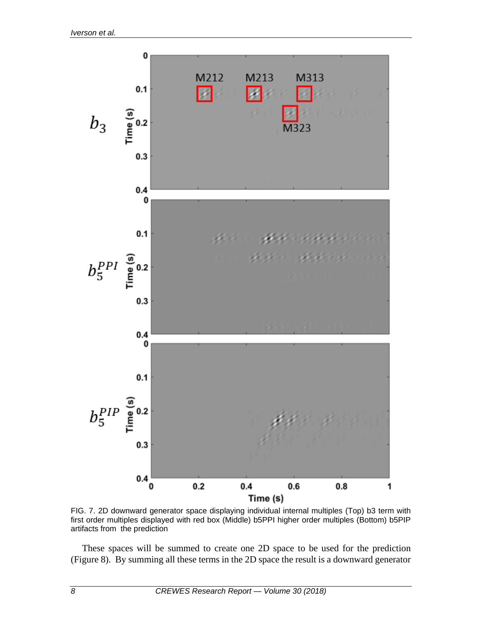

FIG. 7. 2D downward generator space displaying individual internal multiples (Top) b3 term with first order multiples displayed with red box (Middle) b5PPI higher order multiples (Bottom) b5PIP artifacts from the prediction

These spaces will be summed to create one 2D space to be used for the prediction (Figure 8). By summing all these terms in the 2D space the result is a downward generator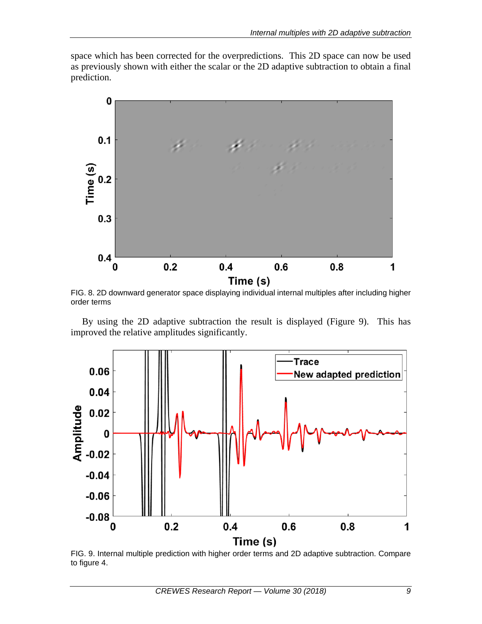space which has been corrected for the overpredictions. This 2D space can now be used as previously shown with either the scalar or the 2D adaptive subtraction to obtain a final prediction.



FIG. 8. 2D downward generator space displaying individual internal multiples after including higher order terms

By using the 2D adaptive subtraction the result is displayed (Figure 9). This has improved the relative amplitudes significantly.



FIG. 9. Internal multiple prediction with higher order terms and 2D adaptive subtraction. Compare to figure 4.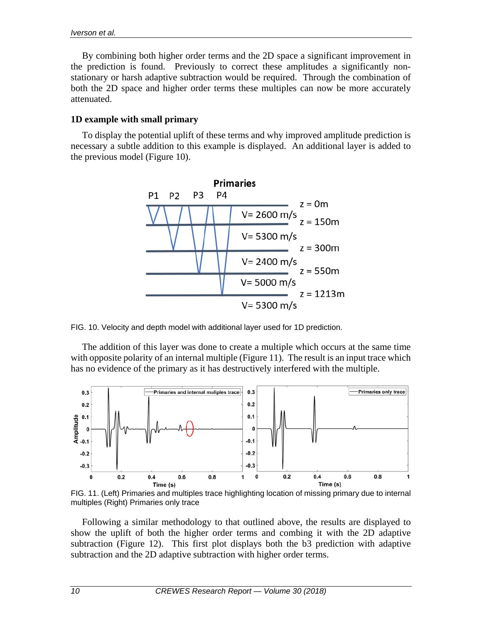By combining both higher order terms and the 2D space a significant improvement in the prediction is found. Previously to correct these amplitudes a significantly nonstationary or harsh adaptive subtraction would be required. Through the combination of both the 2D space and higher order terms these multiples can now be more accurately attenuated.

## **1D example with small primary**

To display the potential uplift of these terms and why improved amplitude prediction is necessary a subtle addition to this example is displayed. An additional layer is added to the previous model (Figure 10).



FIG. 10. Velocity and depth model with additional layer used for 1D prediction.

The addition of this layer was done to create a multiple which occurs at the same time with opposite polarity of an internal multiple (Figure 11). The result is an input trace which has no evidence of the primary as it has destructively interfered with the multiple.



FIG. 11. (Left) Primaries and multiples trace highlighting location of missing primary due to internal multiples (Right) Primaries only trace

Following a similar methodology to that outlined above, the results are displayed to show the uplift of both the higher order terms and combing it with the 2D adaptive subtraction (Figure 12). This first plot displays both the b3 prediction with adaptive subtraction and the 2D adaptive subtraction with higher order terms.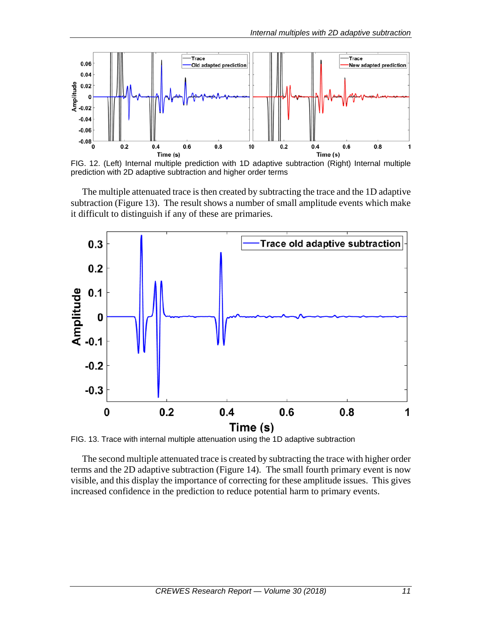

FIG. 12. (Left) Internal multiple prediction with 1D adaptive subtraction (Right) Internal multiple prediction with 2D adaptive subtraction and higher order terms

The multiple attenuated trace is then created by subtracting the trace and the 1D adaptive subtraction (Figure 13). The result shows a number of small amplitude events which make it difficult to distinguish if any of these are primaries.



FIG. 13. Trace with internal multiple attenuation using the 1D adaptive subtraction

The second multiple attenuated trace is created by subtracting the trace with higher order terms and the 2D adaptive subtraction (Figure 14). The small fourth primary event is now visible, and this display the importance of correcting for these amplitude issues. This gives increased confidence in the prediction to reduce potential harm to primary events.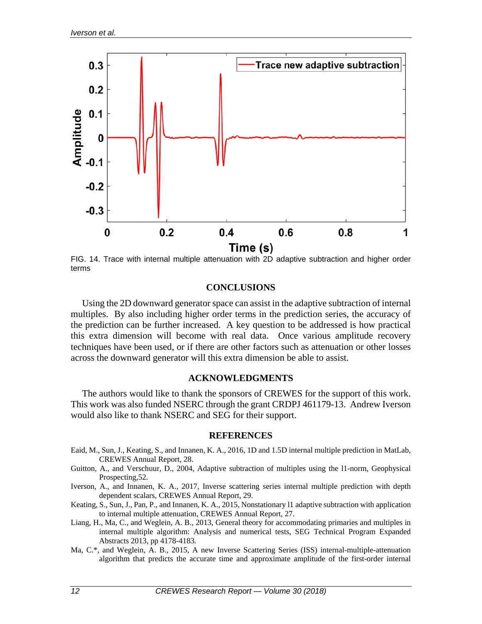

FIG. 14. Trace with internal multiple attenuation with 2D adaptive subtraction and higher order terms

#### **CONCLUSIONS**

Using the 2D downward generator space can assist in the adaptive subtraction of internal multiples. By also including higher order terms in the prediction series, the accuracy of the prediction can be further increased. A key question to be addressed is how practical this extra dimension will become with real data. Once various amplitude recovery techniques have been used, or if there are other factors such as attenuation or other losses across the downward generator will this extra dimension be able to assist.

#### **ACKNOWLEDGMENTS**

The authors would like to thank the sponsors of CREWES for the support of this work. This work was also funded NSERC through the grant CRDPJ 461179-13. Andrew Iverson would also like to thank NSERC and SEG for their support.

#### **REFERENCES**

- Eaid, M., Sun, J., Keating, S., and Innanen, K. A., 2016, 1D and 1.5D internal multiple prediction in MatLab, CREWES Annual Report, 28.
- Guitton, A., and Verschuur, D., 2004, Adaptive subtraction of multiples using the l1-norm, Geophysical Prospecting,52.
- Iverson, A., and Innanen, K. A., 2017, Inverse scattering series internal multiple prediction with depth dependent scalars, CREWES Annual Report, 29.
- Keating, S., Sun, J., Pan, P., and Innanen, K. A., 2015, Nonstationary l1 adaptive subtraction with application to internal multiple attenuation, CREWES Annual Report, 27.
- Liang, H., Ma, C., and Weglein, A. B., 2013, General theory for accommodating primaries and multiples in internal multiple algorithm: Analysis and numerical tests, SEG Technical Program Expanded Abstracts 2013, pp 4178-4183.
- Ma, C.\*, and Weglein, A. B., 2015, A new Inverse Scattering Series (ISS) internal-multiple-attenuation algorithm that predicts the accurate time and approximate amplitude of the first-order internal